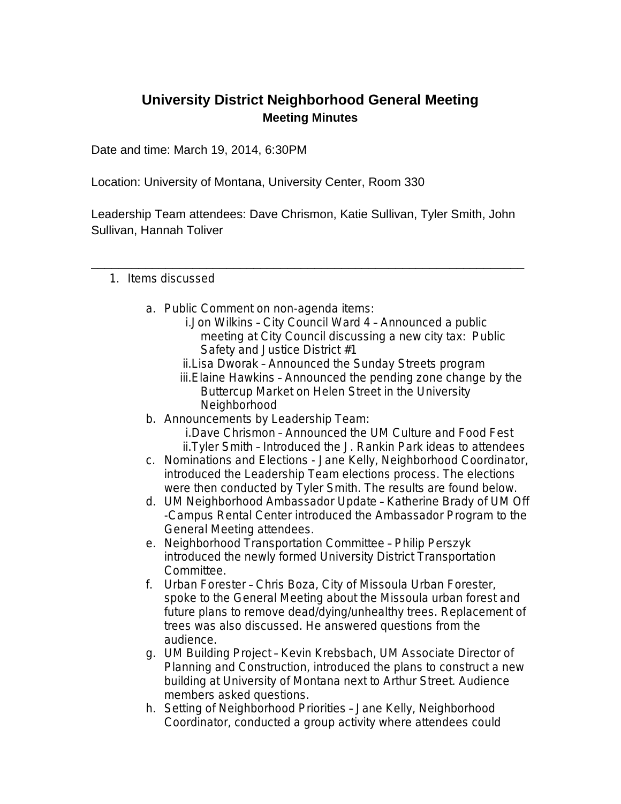## **University District Neighborhood General Meeting Meeting Minutes**

Date and time: March 19, 2014, 6:30PM

Location: University of Montana, University Center, Room 330

Leadership Team attendees: Dave Chrismon, Katie Sullivan, Tyler Smith, John Sullivan, Hannah Toliver

\_\_\_\_\_\_\_\_\_\_\_\_\_\_\_\_\_\_\_\_\_\_\_\_\_\_\_\_\_\_\_\_\_\_\_\_\_\_\_\_\_\_\_\_\_\_\_\_\_\_\_\_\_\_\_\_\_\_\_\_\_\_\_\_

## 1. Items discussed

- a. Public Comment on non-agenda items:
	- i.Jon Wilkins City Council Ward 4 Announced a public meeting at City Council discussing a new city tax: Public Safety and Justice District #1
	- ii.Lisa Dworak Announced the Sunday Streets program
	- iii.Elaine Hawkins Announced the pending zone change by the Buttercup Market on Helen Street in the University Neighborhood
- b. Announcements by Leadership Team:
	- i.Dave Chrismon Announced the UM Culture and Food Fest ii.Tyler Smith – Introduced the J. Rankin Park ideas to attendees
- c. Nominations and Elections Jane Kelly, Neighborhood Coordinator, introduced the Leadership Team elections process. The elections were then conducted by Tyler Smith. The results are found below.
- d. UM Neighborhood Ambassador Update Katherine Brady of UM Off -Campus Rental Center introduced the Ambassador Program to the General Meeting attendees.
- e. Neighborhood Transportation Committee Philip Perszyk introduced the newly formed University District Transportation Committee.
- f. Urban Forester Chris Boza, City of Missoula Urban Forester, spoke to the General Meeting about the Missoula urban forest and future plans to remove dead/dying/unhealthy trees. Replacement of trees was also discussed. He answered questions from the audience.
- g. UM Building Project Kevin Krebsbach, UM Associate Director of Planning and Construction, introduced the plans to construct a new building at University of Montana next to Arthur Street. Audience members asked questions.
- h. Setting of Neighborhood Priorities Jane Kelly, Neighborhood Coordinator, conducted a group activity where attendees could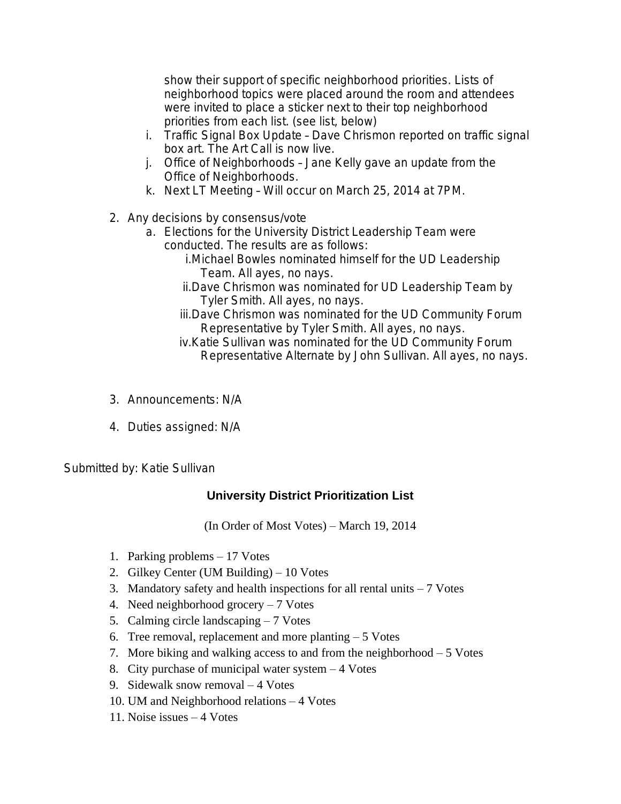show their support of specific neighborhood priorities. Lists of neighborhood topics were placed around the room and attendees were invited to place a sticker next to their top neighborhood priorities from each list. (see list, below)

- i. Traffic Signal Box Update Dave Chrismon reported on traffic signal box art. The Art Call is now live.
- j. Office of Neighborhoods Jane Kelly gave an update from the Office of Neighborhoods.
- k. Next LT Meeting Will occur on March 25, 2014 at 7PM.
- 2. Any decisions by consensus/vote
	- a. Elections for the University District Leadership Team were conducted. The results are as follows:
		- i.Michael Bowles nominated himself for the UD Leadership Team. All ayes, no nays.
		- ii.Dave Chrismon was nominated for UD Leadership Team by Tyler Smith. All ayes, no nays.
		- iii.Dave Chrismon was nominated for the UD Community Forum Representative by Tyler Smith. All ayes, no nays.
		- iv.Katie Sullivan was nominated for the UD Community Forum Representative Alternate by John Sullivan. All ayes, no nays.
- 3. Announcements: N/A
- 4. Duties assigned: N/A

Submitted by: Katie Sullivan

## **University District Prioritization List**

(In Order of Most Votes) – March 19, 2014

- 1. Parking problems 17 Votes
- 2. Gilkey Center (UM Building) 10 Votes
- 3. Mandatory safety and health inspections for all rental units  $-7$  Votes
- 4. Need neighborhood grocery 7 Votes
- 5. Calming circle landscaping 7 Votes
- 6. Tree removal, replacement and more planting  $-5$  Votes
- 7. More biking and walking access to and from the neighborhood 5 Votes
- 8. City purchase of municipal water system 4 Votes
- 9. Sidewalk snow removal 4 Votes
- 10. UM and Neighborhood relations 4 Votes
- 11. Noise issues 4 Votes